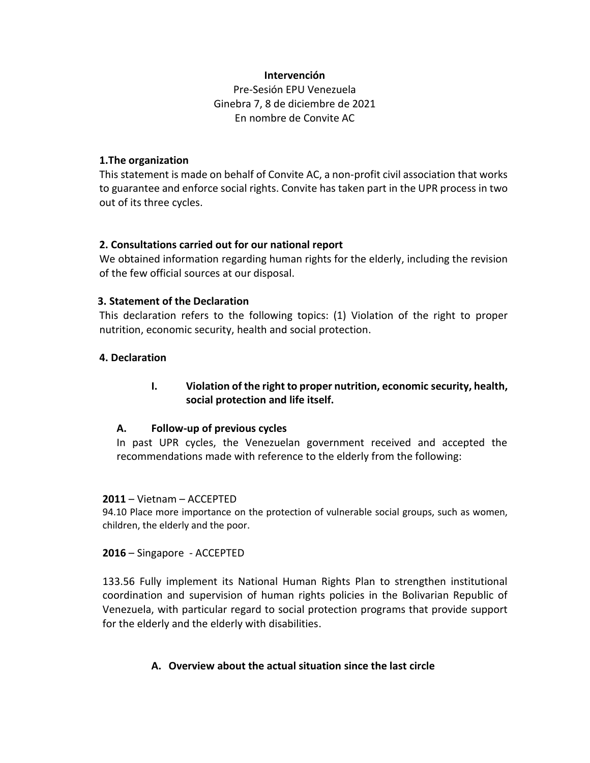### **Intervención**

Pre-Sesión EPU Venezuela Ginebra 7, 8 de diciembre de 2021 En nombre de Convite AC

### **1.The organization**

This statement is made on behalf of Convite AC, a non-profit civil association that works to guarantee and enforce social rights. Convite has taken part in the UPR process in two out of its three cycles.

### **2. Consultations carried out for our national report**

We obtained information regarding human rights for the elderly, including the revision of the few official sources at our disposal.

### **3. Statement of the Declaration**

This declaration refers to the following topics: (1) Violation of the right to proper nutrition, economic security, health and social protection.

### **4. Declaration**

## **I. Violation of the right to proper nutrition, economic security, health, social protection and life itself.**

### **A. Follow-up of previous cycles**

In past UPR cycles, the Venezuelan government received and accepted the recommendations made with reference to the elderly from the following:

#### **2011** – Vietnam – ACCEPTED

94.10 Place more importance on the protection of vulnerable social groups, such as women, children, the elderly and the poor.

**2016** – Singapore - ACCEPTED

133.56 Fully implement its National Human Rights Plan to strengthen institutional coordination and supervision of human rights policies in the Bolivarian Republic of Venezuela, with particular regard to social protection programs that provide support for the elderly and the elderly with disabilities.

### **A. Overview about the actual situation since the last circle**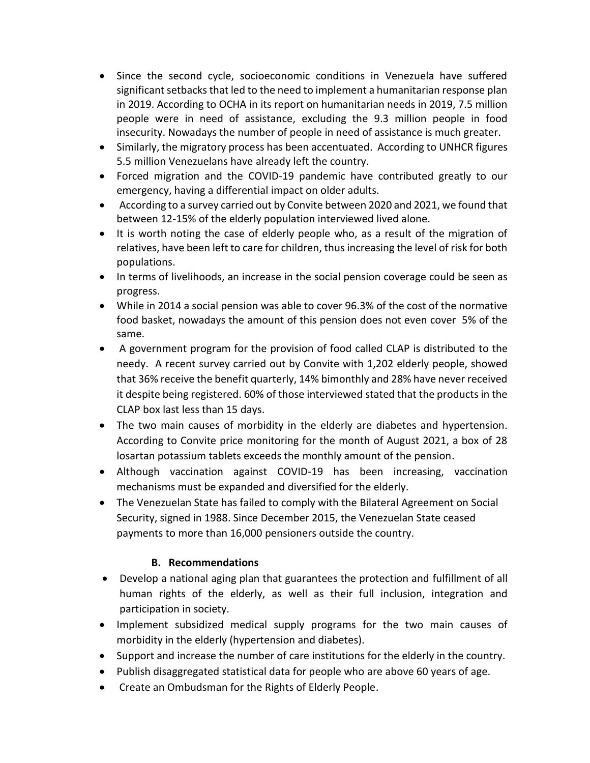- Since the second cycle, socioeconomic conditions in Venezuela have suffered significant setbacks that led to the need to implement a humanitarian response plan in 2019. According to OCHA in its report on humanitarian needs in 2019, 7.5 million people were in need of assistance, excluding the 9.3 million people in food insecurity. Nowadays the number of people in need of assistance is much greater.
- Similarly, the migratory process has been accentuated. According to UNHCR figures 5.5 million Venezuelans have already left the country.
- Forced migration and the COVID-19 pandemic have contributed greatly to our emergency, having a differential impact on older adults.
- According to a survey carried out by Convite between 2020 and 2021, we found that between 12-15% of the elderly population interviewed lived alone.
- It is worth noting the case of elderly people who, as a result of the migration of relatives, have been left to care for children, thus increasing the level of risk for both populations.
- In terms of livelihoods, an increase in the social pension coverage could be seen as progress.
- While in 2014 a social pension was able to cover 96.3% of the cost of the normative food basket, nowadays the amount of this pension does not even cover 5% of the same.
- A government program for the provision of food called CLAP is distributed to the needy. A recent survey carried out by Convite with 1,202 elderly people, showed that 36% receive the benefit quarterly, 14% bimonthly and 28% have never received it despite being registered. 60% of those interviewed stated that the products in the CLAP box last less than 15 days.
- The two main causes of morbidity in the elderly are diabetes and hypertension. According to Convite price monitoring for the month of August 2021, a box of 28 losartan potassium tablets exceeds the monthly amount of the pension.
- Although vaccination against COVID-19 has been increasing, vaccination mechanisms must be expanded and diversified for the elderly.
- The Venezuelan State has failed to comply with the Bilateral Agreement on Social Security, signed in 1988. Since December 2015, the Venezuelan State ceased payments to more than 16,000 pensioners outside the country.

# **B. Recommendations**

- Develop a national aging plan that guarantees the protection and fulfillment of all human rights of the elderly, as well as their full inclusion, integration and participation in society.
- Implement subsidized medical supply programs for the two main causes of morbidity in the elderly (hypertension and diabetes).
- Support and increase the number of care institutions for the elderly in the country.
- Publish disaggregated statistical data for people who are above 60 years of age.
- Create an Ombudsman for the Rights of Elderly People.